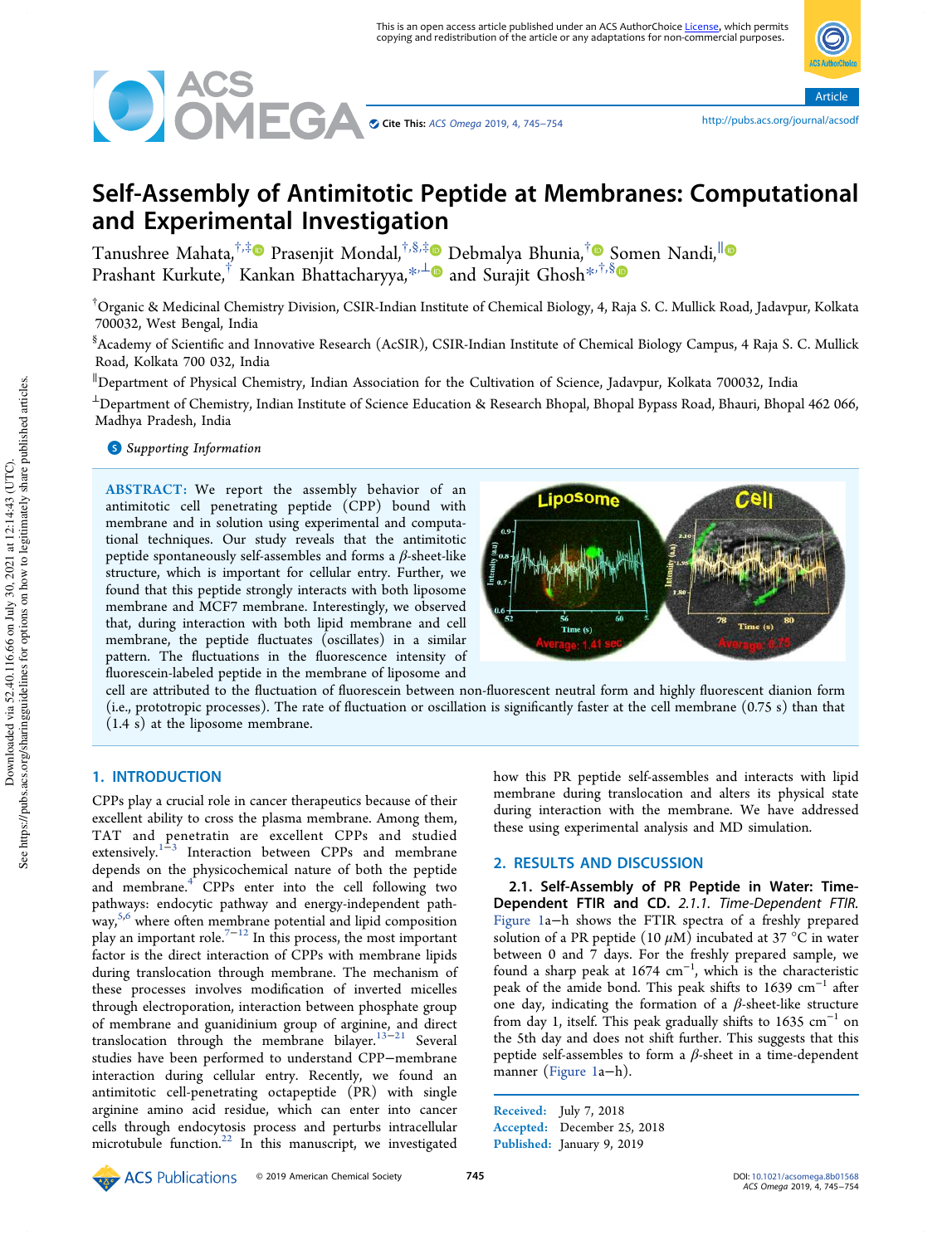

Article

# Self-Assembly of Antimitotic Peptide at Membranes: Computational and Experimental Investigation

Tanushree Mahata,<sup>†,‡</sup>® Prasenjit Mondal,<sup>†,§,‡</sup>® Debmalya Bhunia,<sup>†</sup>® Somen Nandi,<sup>∥</sup> Prashant Kurkute,<sup>†</sup> Kankan Bhattacharyya,\*<sup>,⊥</sup>® and Surajit Ghosh<sup>\*,†,§</sup>

†Organic & Medicinal Chemistry Division, CSIR-Indian Institute of Chemical Biology, 4, Raja S. C. Mullick Road, Jadavpur, Kolkata 700032, West Bengal, India

§ Academy of Scientific and Innovative Research (AcSIR), CSIR-Indian Institute of Chemical Biology Campus, 4 Raja S. C. Mullick Road, Kolkata 700 032, India

<sup>∥</sup>Department of Physical Chemistry, Indian Association for the Cultivation of Science, Jadavpur, Kolkata 700032, India

<sup>⊥</sup>Department of Chemistry, Indian Institute of Science Education & Research Bhopal, Bhopal Bypass Road, Bhauri, Bhopal 462 066, Madhya Pradesh, India

**S** Supporting Information

ABSTRACT: We report the assembly behavior of an antimitotic cell penetrating peptide (CPP) bound with membrane and in solution using experimental and computational techniques. Our study reveals that the antimitotic peptide spontaneously self-assembles and forms a  $\beta$ -sheet-like structure, which is important for cellular entry. Further, we found that this peptide strongly interacts with both liposome membrane and MCF7 membrane. Interestingly, we observed that, during interaction with both lipid membrane and cell membrane, the peptide fluctuates (oscillates) in a similar pattern. The fluctuations in the fluorescence intensity of fluorescein-labeled peptide in the membrane of liposome and



cell are attributed to the fluctuation of fluorescein between non-fluorescent neutral form and highly fluorescent dianion form (i.e., prototropic processes). The rate of fluctuation or oscillation is significantly faster at the cell membrane (0.75 s) than that (1.4 s) at the liposome membrane.

# 1. INTRODUCTION

CPPs play a crucial role in cancer therapeutics because of their excellent ability to cross the plasma membrane. Among them, TAT and penetratin are excellent CPPs and studied extensively.<sup>1–3</sup> Interaction between CPPs and membrane depends on the physicochemical nature of both the peptide and membrane.<sup>4</sup> CPPs enter into the cell following two pathways: endocytic pathway and energy-independent pathway, 5,6 where often membrane potential and lipid composition play an important role.<sup>7−12</sup> In this process, the most important factor is the direct interaction of CPPs with membrane lipids during translocation through membrane. The mechanism of these processes involves modification of inverted micelles through electroporation, interaction between phosphate group of membrane and guanidinium group of arginine, and direct translocation through the membrane bilayer.13−<sup>21</sup> Several studies have been performed to understand CPP−membrane interaction during cellular entry. Recently, we found an antimitotic cell-penetrating octapeptide (PR) with single arginine amino acid residue, which can enter into cancer cells through endocytosis process and perturbs intracellular microtubule function.<sup>22</sup> In this manuscript, we investigated how this PR peptide self-assembles and interacts with lipid membrane during translocation and alters its physical state during interaction with the membrane. We have addressed these using experimental analysis and MD simulation.

## 2. RESULTS AND DISCUSSION

2.1. Self-Assembly of PR Peptide in Water: Time-Dependent FTIR and CD. *2.1.1. Time-Dependent FTIR.* Figure 1a−h shows the FTIR spectra of a freshly prepared solution of a PR peptide (10  $\mu$ M) incubated at 37 °C in water between 0 and 7 days. For the freshly prepared sample, we found a sharp peak at 1674 cm<sup>−</sup><sup>1</sup> , which is the characteristic peak of the amide bond. This peak shifts to 1639 cm<sup>-1</sup> after one day, indicating the formation of a  $\beta$ -sheet-like structure from day 1, itself. This peak gradually shifts to 1635  $cm^{-1}$  on the 5th day and does not shift further. This suggests that this peptide self-assembles to form a  $\beta$ -sheet in a time-dependent manner (Figure 1a−h).

Received: July 7, 2018 Accepted: December 25, 2018 Published: January 9, 2019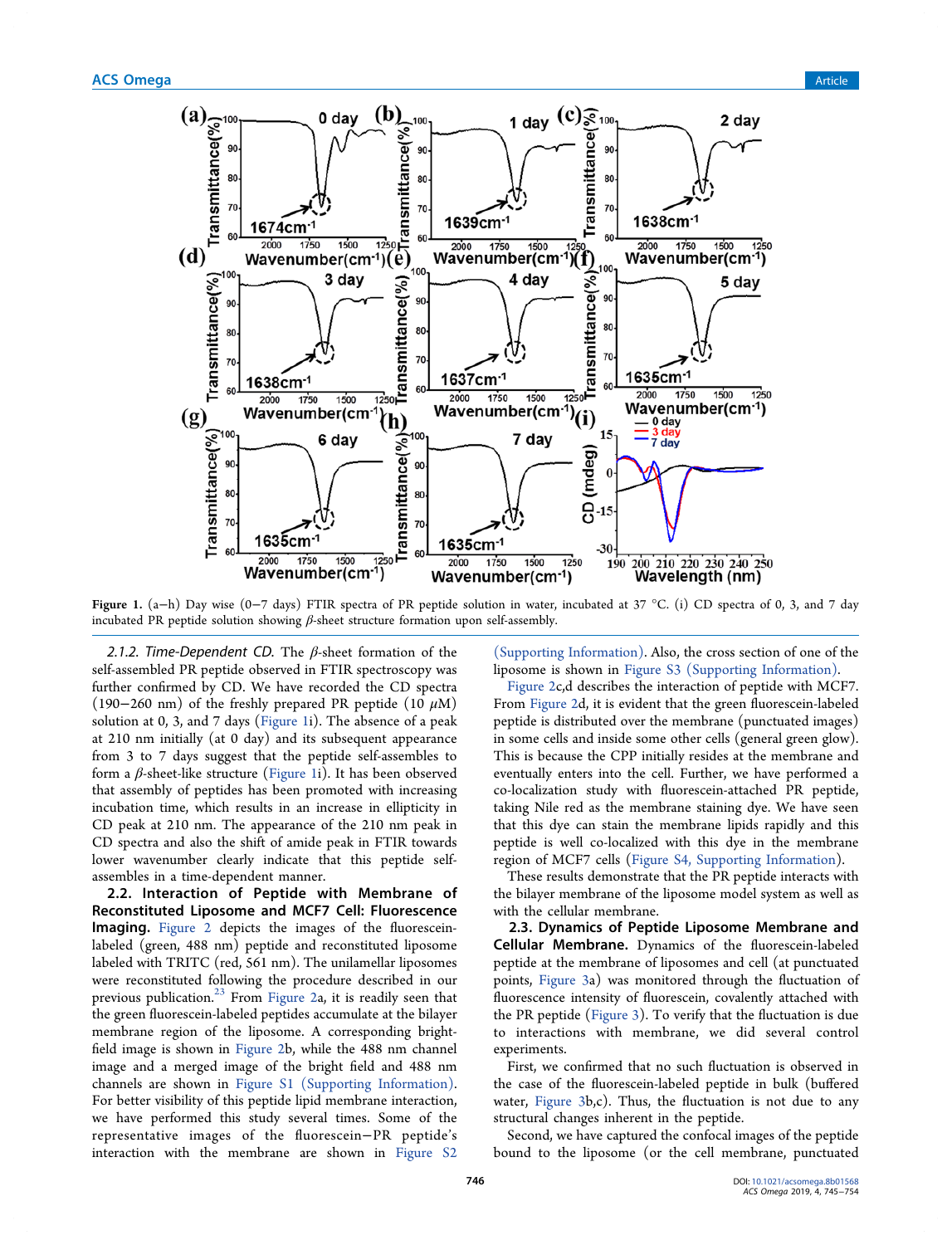

Figure 1. (a−h) Day wise (0−7 days) FTIR spectra of PR peptide solution in water, incubated at 37 °C. (i) CD spectra of 0, 3, and 7 day incubated PR peptide solution showing  $\beta$ -sheet structure formation upon self-assembly.

*2.1.2. Time-Dependent CD.* The β-sheet formation of the self-assembled PR peptide observed in FTIR spectroscopy was further confirmed by CD. We have recorded the CD spectra (190−260 nm) of the freshly prepared PR peptide (10  $\mu$ M) solution at 0, 3, and 7 days (Figure 1i). The absence of a peak at 210 nm initially (at 0 day) and its subsequent appearance from 3 to 7 days suggest that the peptide self-assembles to form a β-sheet-like structure (Figure 1i). It has been observed that assembly of peptides has been promoted with increasing incubation time, which results in an increase in ellipticity in CD peak at 210 nm. The appearance of the 210 nm peak in CD spectra and also the shift of amide peak in FTIR towards lower wavenumber clearly indicate that this peptide selfassembles in a time-dependent manner.

2.2. Interaction of Peptide with Membrane of Reconstituted Liposome and MCF7 Cell: Fluorescence Imaging. Figure 2 depicts the images of the fluoresceinlabeled (green, 488 nm) peptide and reconstituted liposome labeled with TRITC (red, 561 nm). The unilamellar liposomes were reconstituted following the procedure described in our previous publication. $23$  From Figure 2a, it is readily seen that the green fluorescein-labeled peptides accumulate at the bilayer membrane region of the liposome. A corresponding brightfield image is shown in Figure 2b, while the 488 nm channel image and a merged image of the bright field and 488 nm channels are shown in Figure S1 (Supporting Information). For better visibility of this peptide lipid membrane interaction, we have performed this study several times. Some of the representative images of the fluorescein−PR peptide's interaction with the membrane are shown in Figure S2

(Supporting Information). Also, the cross section of one of the liposome is shown in Figure S3 (Supporting Information).

Figure 2c,d describes the interaction of peptide with MCF7. From Figure 2d, it is evident that the green fluorescein-labeled peptide is distributed over the membrane (punctuated images) in some cells and inside some other cells (general green glow). This is because the CPP initially resides at the membrane and eventually enters into the cell. Further, we have performed a co-localization study with fluorescein-attached PR peptide, taking Nile red as the membrane staining dye. We have seen that this dye can stain the membrane lipids rapidly and this peptide is well co-localized with this dye in the membrane region of MCF7 cells (Figure S4, Supporting Information).

These results demonstrate that the PR peptide interacts with the bilayer membrane of the liposome model system as well as with the cellular membrane.

2.3. Dynamics of Peptide Liposome Membrane and Cellular Membrane. Dynamics of the fluorescein-labeled peptide at the membrane of liposomes and cell (at punctuated points, Figure 3a) was monitored through the fluctuation of fluorescence intensity of fluorescein, covalently attached with the PR peptide (Figure 3). To verify that the fluctuation is due to interactions with membrane, we did several control experiments.

First, we confirmed that no such fluctuation is observed in the case of the fluorescein-labeled peptide in bulk (buffered water, Figure 3b,c). Thus, the fluctuation is not due to any structural changes inherent in the peptide.

Second, we have captured the confocal images of the peptide bound to the liposome (or the cell membrane, punctuated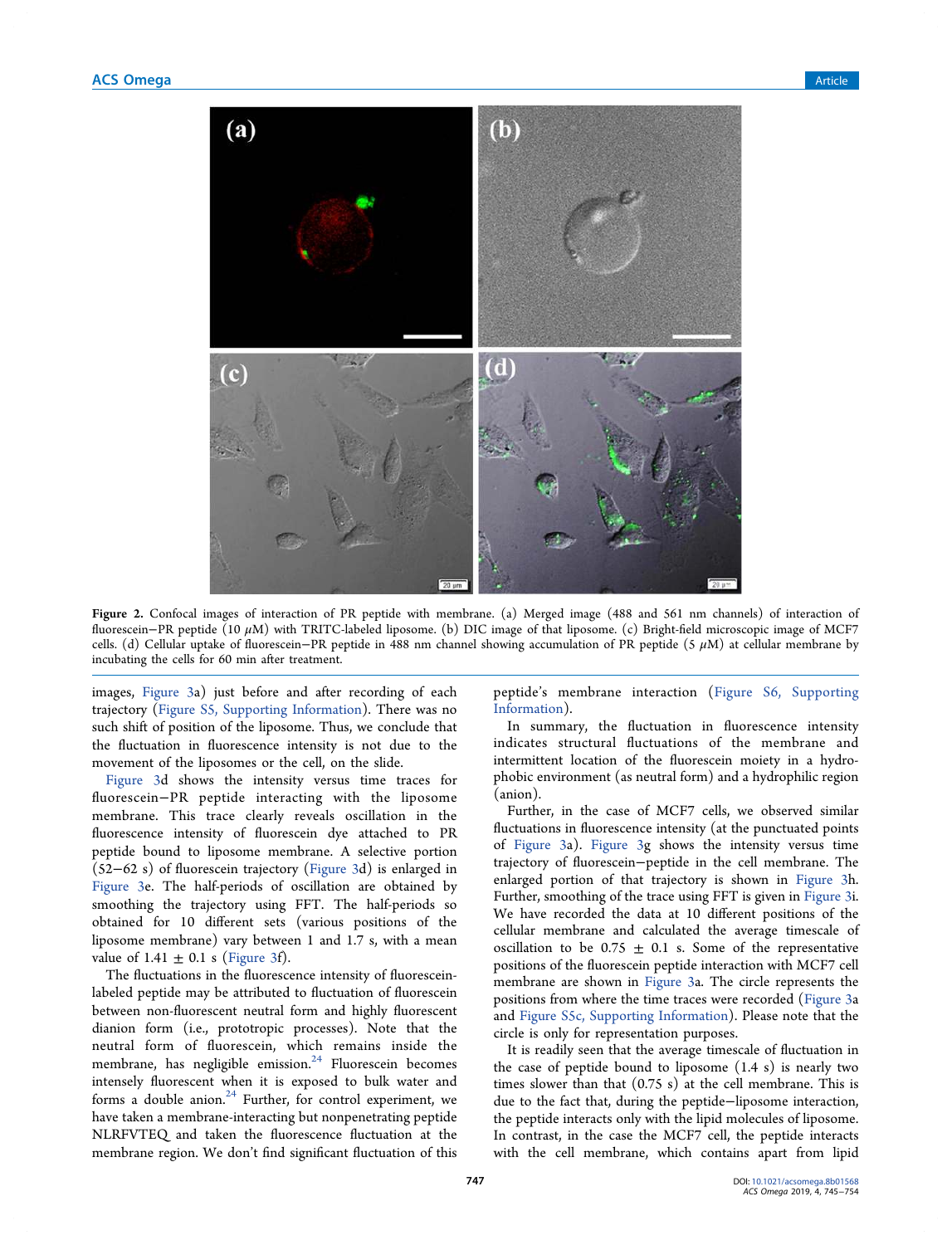

Figure 2. Confocal images of interaction of PR peptide with membrane. (a) Merged image (488 and 561 nm channels) of interaction of fluorescein−PR peptide (10 μM) with TRITC-labeled liposome. (b) DIC image of that liposome. (c) Bright-field microscopic image of MCF7 cells. (d) Cellular uptake of fluorescein−PR peptide in 488 nm channel showing accumulation of PR peptide (5 μM) at cellular membrane by incubating the cells for 60 min after treatment.

images, Figure 3a) just before and after recording of each trajectory (Figure S5, Supporting Information). There was no such shift of position of the liposome. Thus, we conclude that the fluctuation in fluorescence intensity is not due to the movement of the liposomes or the cell, on the slide.

Figure 3d shows the intensity versus time traces for fluorescein−PR peptide interacting with the liposome membrane. This trace clearly reveals oscillation in the fluorescence intensity of fluorescein dye attached to PR peptide bound to liposome membrane. A selective portion (52−62 s) of fluorescein trajectory (Figure 3d) is enlarged in Figure 3e. The half-periods of oscillation are obtained by smoothing the trajectory using FFT. The half-periods so obtained for 10 different sets (various positions of the liposome membrane) vary between 1 and 1.7 s, with a mean value of  $1.41 \pm 0.1$  s (Figure 3f).

The fluctuations in the fluorescence intensity of fluoresceinlabeled peptide may be attributed to fluctuation of fluorescein between non-fluorescent neutral form and highly fluorescent dianion form (i.e., prototropic processes). Note that the neutral form of fluorescein, which remains inside the membrane, has negligible emission.<sup>24</sup> Fluorescein becomes intensely fluorescent when it is exposed to bulk water and forms a double anion. $24$  Further, for control experiment, we have taken a membrane-interacting but nonpenetrating peptide NLRFVTEQ and taken the fluorescence fluctuation at the membrane region. We don't find significant fluctuation of this

peptide's membrane interaction (Figure S6, Supporting Information).

In summary, the fluctuation in fluorescence intensity indicates structural fluctuations of the membrane and intermittent location of the fluorescein moiety in a hydrophobic environment (as neutral form) and a hydrophilic region (anion).

Further, in the case of MCF7 cells, we observed similar fluctuations in fluorescence intensity (at the punctuated points of Figure 3a). Figure 3g shows the intensity versus time trajectory of fluorescein−peptide in the cell membrane. The enlarged portion of that trajectory is shown in Figure 3h. Further, smoothing of the trace using FFT is given in Figure 3i. We have recorded the data at 10 different positions of the cellular membrane and calculated the average timescale of oscillation to be 0.75  $\pm$  0.1 s. Some of the representative positions of the fluorescein peptide interaction with MCF7 cell membrane are shown in Figure 3a. The circle represents the positions from where the time traces were recorded (Figure 3a and Figure S5c, Supporting Information). Please note that the circle is only for representation purposes.

It is readily seen that the average timescale of fluctuation in the case of peptide bound to liposome (1.4 s) is nearly two times slower than that (0.75 s) at the cell membrane. This is due to the fact that, during the peptide−liposome interaction, the peptide interacts only with the lipid molecules of liposome. In contrast, in the case the MCF7 cell, the peptide interacts with the cell membrane, which contains apart from lipid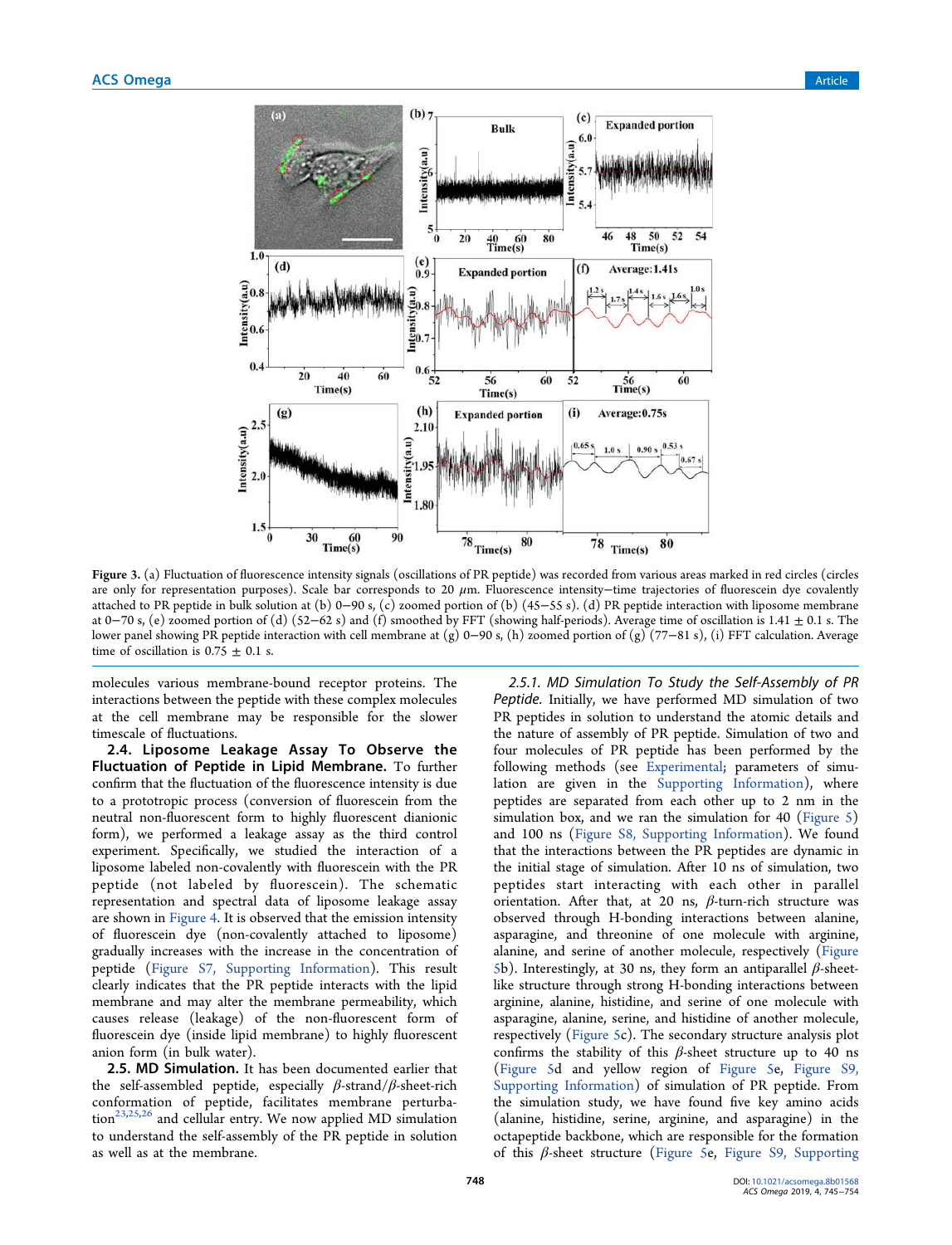

Figure 3. (a) Fluctuation of fluorescence intensity signals (oscillations of PR peptide) was recorded from various areas marked in red circles (circles are only for representation purposes). Scale bar corresponds to 20 μm. Fluorescence intensity−time trajectories of fluorescein dye covalently attached to PR peptide in bulk solution at (b) 0−90 s, (c) zoomed portion of (b) (45−55 s). (d) PR peptide interaction with liposome membrane at 0−70 s, (e) zoomed portion of (d)  $(52-62 s)$  and (f) smoothed by FFT (showing half-periods). Average time of oscillation is 1.41 ± 0.1 s. The lower panel showing PR peptide interaction with cell membrane at (g) 0−90 s, (h) zoomed portion of (g) (77−81 s), (i) FFT calculation. Average time of oscillation is  $0.75 \pm 0.1$  s.

molecules various membrane-bound receptor proteins. The interactions between the peptide with these complex molecules at the cell membrane may be responsible for the slower timescale of fluctuations.

2.4. Liposome Leakage Assay To Observe the Fluctuation of Peptide in Lipid Membrane. To further confirm that the fluctuation of the fluorescence intensity is due to a prototropic process (conversion of fluorescein from the neutral non-fluorescent form to highly fluorescent dianionic form), we performed a leakage assay as the third control experiment. Specifically, we studied the interaction of a liposome labeled non-covalently with fluorescein with the PR peptide (not labeled by fluorescein). The schematic representation and spectral data of liposome leakage assay are shown in Figure 4. It is observed that the emission intensity of fluorescein dye (non-covalently attached to liposome) gradually increases with the increase in the concentration of peptide (Figure S7, Supporting Information). This result clearly indicates that the PR peptide interacts with the lipid membrane and may alter the membrane permeability, which causes release (leakage) of the non-fluorescent form of fluorescein dye (inside lipid membrane) to highly fluorescent anion form (in bulk water).

2.5. MD Simulation. It has been documented earlier that the self-assembled peptide, especially  $\beta$ -strand/ $\beta$ -sheet-rich conformation of peptide, facilitates membrane perturba- $\text{tion}^{23,25,26}$  and cellular entry. We now applied MD simulation to understand the self-assembly of the PR peptide in solution as well as at the membrane.

*2.5.1. MD Simulation To Study the Self-Assembly of PR Peptide.* Initially, we have performed MD simulation of two PR peptides in solution to understand the atomic details and the nature of assembly of PR peptide. Simulation of two and four molecules of PR peptide has been performed by the following methods (see Experimental; parameters of simulation are given in the Supporting Information), where peptides are separated from each other up to 2 nm in the simulation box, and we ran the simulation for 40 (Figure 5) and 100 ns (Figure S8, Supporting Information). We found that the interactions between the PR peptides are dynamic in the initial stage of simulation. After 10 ns of simulation, two peptides start interacting with each other in parallel orientation. After that, at 20 ns,  $\beta$ -turn-rich structure was observed through H-bonding interactions between alanine, asparagine, and threonine of one molecule with arginine, alanine, and serine of another molecule, respectively (Figure 5b). Interestingly, at 30 ns, they form an antiparallel  $\beta$ -sheetlike structure through strong H-bonding interactions between arginine, alanine, histidine, and serine of one molecule with asparagine, alanine, serine, and histidine of another molecule, respectively (Figure 5c). The secondary structure analysis plot confirms the stability of this  $\beta$ -sheet structure up to 40 ns (Figure 5d and yellow region of Figure 5e, Figure S9, Supporting Information) of simulation of PR peptide. From the simulation study, we have found five key amino acids (alanine, histidine, serine, arginine, and asparagine) in the octapeptide backbone, which are responsible for the formation of this  $\beta$ -sheet structure (Figure 5e, Figure S9, Supporting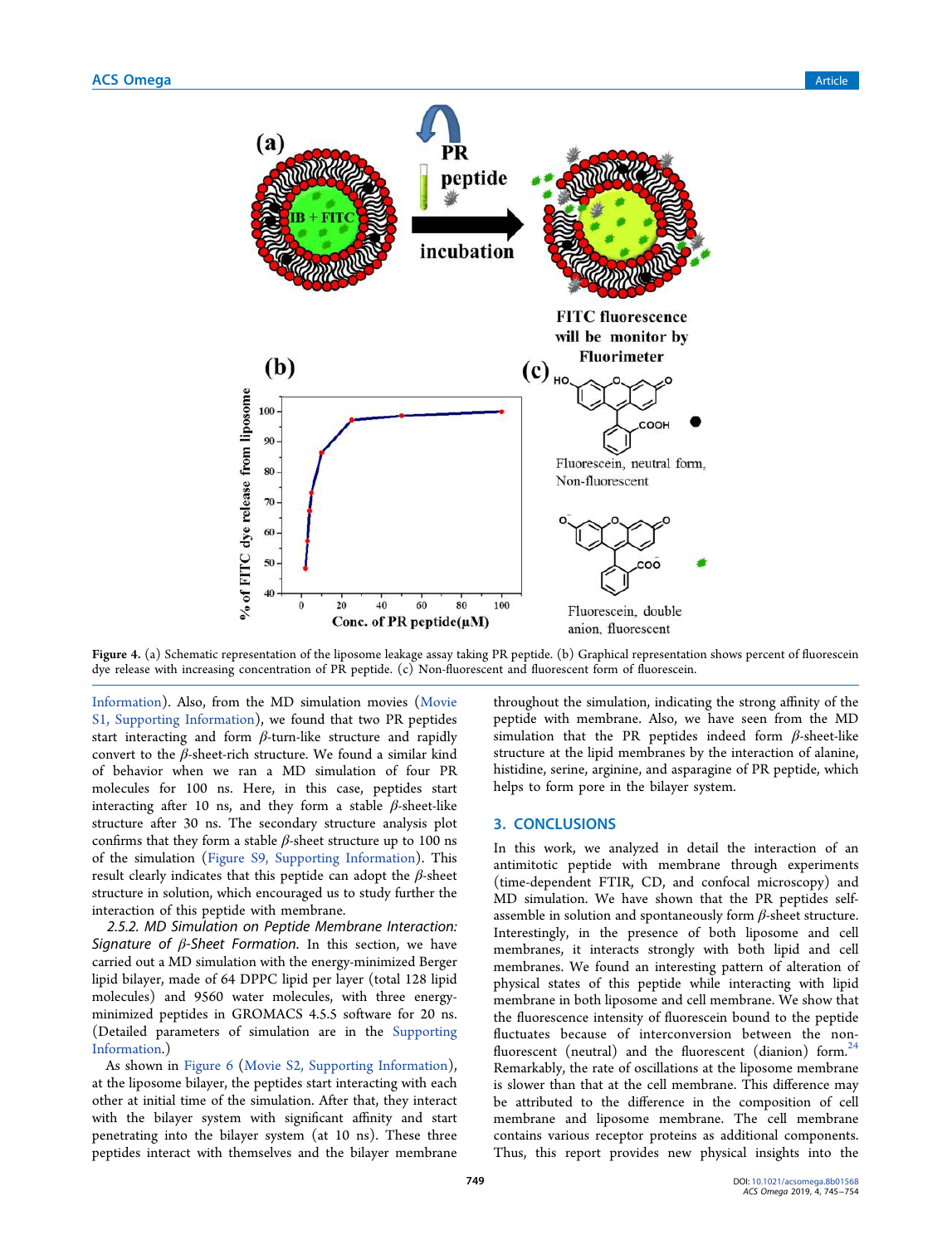

Figure 4. (a) Schematic representation of the liposome leakage assay taking PR peptide. (b) Graphical representation shows percent of fluorescein dye release with increasing concentration of PR peptide. (c) Non-fluorescent and fluorescent form of fluorescein.

Information). Also, from the MD simulation movies (Movie S1, Supporting Information), we found that two PR peptides start interacting and form  $\beta$ -turn-like structure and rapidly convert to the  $\beta$ -sheet-rich structure. We found a similar kind of behavior when we ran a MD simulation of four PR molecules for 100 ns. Here, in this case, peptides start interacting after 10 ns, and they form a stable  $\beta$ -sheet-like structure after 30 ns. The secondary structure analysis plot confirms that they form a stable  $\beta$ -sheet structure up to 100 ns of the simulation (Figure S9, Supporting Information). This result clearly indicates that this peptide can adopt the  $\beta$ -sheet structure in solution, which encouraged us to study further the interaction of this peptide with membrane.

*2.5.2. MD Simulation on Peptide Membrane Interaction: Signature of* β*-Sheet Formation.* In this section, we have carried out a MD simulation with the energy-minimized Berger lipid bilayer, made of 64 DPPC lipid per layer (total 128 lipid molecules) and 9560 water molecules, with three energyminimized peptides in GROMACS 4.5.5 software for 20 ns. (Detailed parameters of simulation are in the Supporting Information.)

As shown in Figure 6 (Movie S2, Supporting Information), at the liposome bilayer, the peptides start interacting with each other at initial time of the simulation. After that, they interact with the bilayer system with significant affinity and start penetrating into the bilayer system (at 10 ns). These three peptides interact with themselves and the bilayer membrane

throughout the simulation, indicating the strong affinity of the peptide with membrane. Also, we have seen from the MD simulation that the PR peptides indeed form  $\beta$ -sheet-like structure at the lipid membranes by the interaction of alanine, histidine, serine, arginine, and asparagine of PR peptide, which helps to form pore in the bilayer system.

#### 3. CONCLUSIONS

In this work, we analyzed in detail the interaction of an antimitotic peptide with membrane through experiments (time-dependent FTIR, CD, and confocal microscopy) and MD simulation. We have shown that the PR peptides selfassemble in solution and spontaneously form  $\beta$ -sheet structure. Interestingly, in the presence of both liposome and cell membranes, it interacts strongly with both lipid and cell membranes. We found an interesting pattern of alteration of physical states of this peptide while interacting with lipid membrane in both liposome and cell membrane. We show that the fluorescence intensity of fluorescein bound to the peptide fluctuates because of interconversion between the nonfluorescent (neutral) and the fluorescent (dianion) form. $24$ Remarkably, the rate of oscillations at the liposome membrane is slower than that at the cell membrane. This difference may be attributed to the difference in the composition of cell membrane and liposome membrane. The cell membrane contains various receptor proteins as additional components. Thus, this report provides new physical insights into the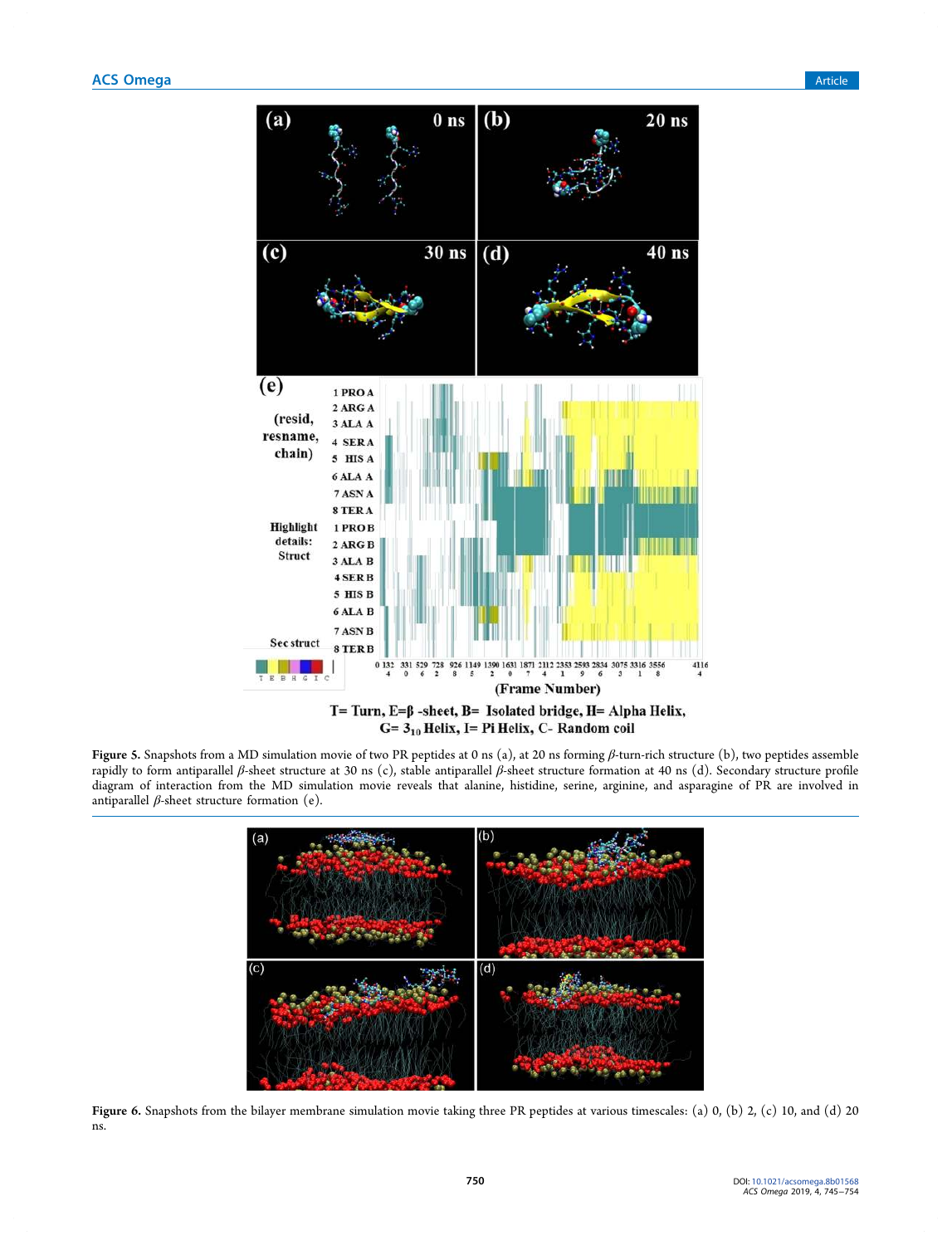

Figure 5. Snapshots from a MD simulation movie of two PR peptides at 0 ns (a), at 20 ns forming β-turn-rich structure (b), two peptides assemble rapidly to form antiparallel β-sheet structure at 30 ns (c), stable antiparallel β-sheet structure formation at 40 ns (d). Secondary structure profile diagram of interaction from the MD simulation movie reveals that alanine, histidine, serine, arginine, and asparagine of PR are involved in antiparallel  $β$ -sheet structure formation (e).



Figure 6. Snapshots from the bilayer membrane simulation movie taking three PR peptides at various timescales: (a) 0, (b) 2, (c) 10, and (d) 20 ns.

750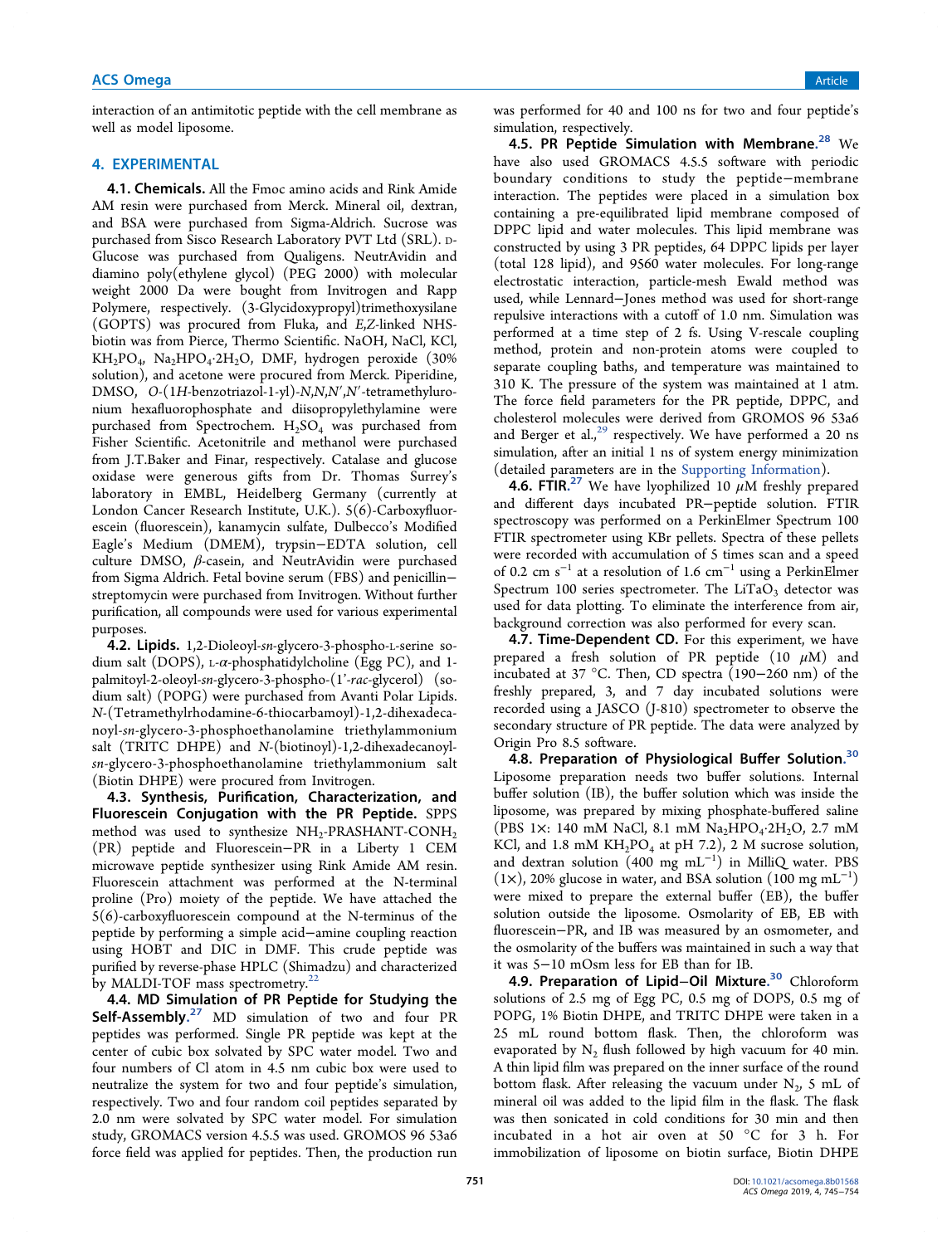# **ACS Omega** Article **Article** Article **Article Article Article Article Article** Article **Article** Article **Article**

interaction of an antimitotic peptide with the cell membrane as well as model liposome.

# 4. EXPERIMENTAL

4.1. Chemicals. All the Fmoc amino acids and Rink Amide AM resin were purchased from Merck. Mineral oil, dextran, and BSA were purchased from Sigma-Aldrich. Sucrose was purchased from Sisco Research Laboratory PVT Ltd (SRL). <sup>D</sup>-Glucose was purchased from Qualigens. NeutrAvidin and diamino poly(ethylene glycol) (PEG 2000) with molecular weight 2000 Da were bought from Invitrogen and Rapp Polymere, respectively. (3-Glycidoxypropyl)trimethoxysilane (GOPTS) was procured from Fluka, and E,Z-linked NHSbiotin was from Pierce, Thermo Scientific. NaOH, NaCl, KCl,  $KH_2PO_4$ ,  $Na_2HPO_4 \cdot 2H_2O$ , DMF, hydrogen peroxide (30% solution), and acetone were procured from Merck. Piperidine, DMSO, O-(1H-benzotriazol-1-yl)-N,N,N′,N′-tetramethyluronium hexafluorophosphate and diisopropylethylamine were purchased from Spectrochem.  $H_2SO_4$  was purchased from Fisher Scientific. Acetonitrile and methanol were purchased from J.T.Baker and Finar, respectively. Catalase and glucose oxidase were generous gifts from Dr. Thomas Surrey's laboratory in EMBL, Heidelberg Germany (currently at London Cancer Research Institute, U.K.). 5(6)-Carboxyfluorescein (fluorescein), kanamycin sulfate, Dulbecco's Modified Eagle's Medium (DMEM), trypsin−EDTA solution, cell culture DMSO, β-casein, and NeutrAvidin were purchased from Sigma Aldrich. Fetal bovine serum (FBS) and penicillin− streptomycin were purchased from Invitrogen. Without further purification, all compounds were used for various experimental purposes.

4.2. Lipids. 1,2-Dioleoyl-sn-glycero-3-phospho-L-serine sodium salt (DOPS), L- $\alpha$ -phosphatidylcholine (Egg PC), and 1palmitoyl-2-oleoyl-sn-glycero-3-phospho-(1'-rac-glycerol) (sodium salt) (POPG) were purchased from Avanti Polar Lipids. N-(Tetramethylrhodamine-6-thiocarbamoyl)-1,2-dihexadecanoyl-sn-glycero-3-phosphoethanolamine triethylammonium salt (TRITC DHPE) and N-(biotinoyl)-1,2-dihexadecanoylsn-glycero-3-phosphoethanolamine triethylammonium salt (Biotin DHPE) were procured from Invitrogen.

4.3. Synthesis, Purification, Characterization, and Fluorescein Conjugation with the PR Peptide. SPPS method was used to synthesize  $\text{NH}_2\text{-}\text{PRASHANT-CONH}_2$ (PR) peptide and Fluorescein−PR in a Liberty 1 CEM microwave peptide synthesizer using Rink Amide AM resin. Fluorescein attachment was performed at the N-terminal proline (Pro) moiety of the peptide. We have attached the 5(6)-carboxyfluorescein compound at the N-terminus of the peptide by performing a simple acid−amine coupling reaction using HOBT and DIC in DMF. This crude peptide was purified by reverse-phase HPLC (Shimadzu) and characterized by MALDI-TOF mass spectrometry.<sup>22</sup>

4.4. MD Simulation of PR Peptide for Studying the Self-Assembly.<sup>27</sup> MD simulation of two and four PR peptides was performed. Single PR peptide was kept at the center of cubic box solvated by SPC water model. Two and four numbers of Cl atom in 4.5 nm cubic box were used to neutralize the system for two and four peptide's simulation, respectively. Two and four random coil peptides separated by 2.0 nm were solvated by SPC water model. For simulation study, GROMACS version 4.5.5 was used. GROMOS 96 53a6 force field was applied for peptides. Then, the production run

was performed for 40 and 100 ns for two and four peptide's simulation, respectively.

4.5. PR Peptide Simulation with Membrane.<sup>28</sup> We have also used GROMACS 4.5.5 software with periodic boundary conditions to study the peptide−membrane interaction. The peptides were placed in a simulation box containing a pre-equilibrated lipid membrane composed of DPPC lipid and water molecules. This lipid membrane was constructed by using 3 PR peptides, 64 DPPC lipids per layer (total 128 lipid), and 9560 water molecules. For long-range electrostatic interaction, particle-mesh Ewald method was used, while Lennard−Jones method was used for short-range repulsive interactions with a cutoff of 1.0 nm. Simulation was performed at a time step of 2 fs. Using V-rescale coupling method, protein and non-protein atoms were coupled to separate coupling baths, and temperature was maintained to 310 K. The pressure of the system was maintained at 1 atm. The force field parameters for the PR peptide, DPPC, and cholesterol molecules were derived from GROMOS 96 53a6 and Berger et al., $^{29}$  respectively. We have performed a 20 ns simulation, after an initial 1 ns of system energy minimization (detailed parameters are in the Supporting Information).

**4.6. FTIR.**<sup>27</sup> We have lyophilized 10  $\mu$ M freshly prepared and different days incubated PR−peptide solution. FTIR spectroscopy was performed on a PerkinElmer Spectrum 100 FTIR spectrometer using KBr pellets. Spectra of these pellets were recorded with accumulation of 5 times scan and a speed of 0.2 cm s<sup>−</sup><sup>1</sup> at a resolution of 1.6 cm<sup>−</sup><sup>1</sup> using a PerkinElmer Spectrum 100 series spectrometer. The LiTaO<sub>3</sub> detector was used for data plotting. To eliminate the interference from air, background correction was also performed for every scan.

4.7. Time-Dependent CD. For this experiment, we have prepared a fresh solution of PR peptide  $(10 \mu M)$  and incubated at 37 °C. Then, CD spectra (190−260 nm) of the freshly prepared, 3, and 7 day incubated solutions were recorded using a JASCO (J-810) spectrometer to observe the secondary structure of PR peptide. The data were analyzed by Origin Pro 8.5 software.

4.8. Preparation of Physiological Buffer Solution.<sup>30</sup> Liposome preparation needs two buffer solutions. Internal buffer solution (IB), the buffer solution which was inside the liposome, was prepared by mixing phosphate-buffered saline (PBS 1×: 140 mM NaCl, 8.1 mM Na<sub>2</sub>HPO<sub>4</sub>·2H<sub>2</sub>O, 2.7 mM KCl, and 1.8 mM  $KH_2PO_4$  at pH 7.2), 2 M sucrose solution, and dextran solution (400 mg mL<sup>−</sup><sup>1</sup> ) in MilliQ water. PBS (1×), 20% glucose in water, and BSA solution (100 mg mL<sup>−</sup><sup>1</sup> ) were mixed to prepare the external buffer (EB), the buffer solution outside the liposome. Osmolarity of EB, EB with fluorescein−PR, and IB was measured by an osmometer, and the osmolarity of the buffers was maintained in such a way that it was 5−10 mOsm less for EB than for IB.

4.9. Preparation of Lipid–Oil Mixture.<sup>30</sup> Chloroform solutions of 2.5 mg of Egg PC, 0.5 mg of DOPS, 0.5 mg of POPG, 1% Biotin DHPE, and TRITC DHPE were taken in a 25 mL round bottom flask. Then, the chloroform was evaporated by  $N_2$  flush followed by high vacuum for 40 min. A thin lipid film was prepared on the inner surface of the round bottom flask. After releasing the vacuum under  $N_2$ , 5 mL of mineral oil was added to the lipid film in the flask. The flask was then sonicated in cold conditions for 30 min and then incubated in a hot air oven at 50 °C for 3 h. For immobilization of liposome on biotin surface, Biotin DHPE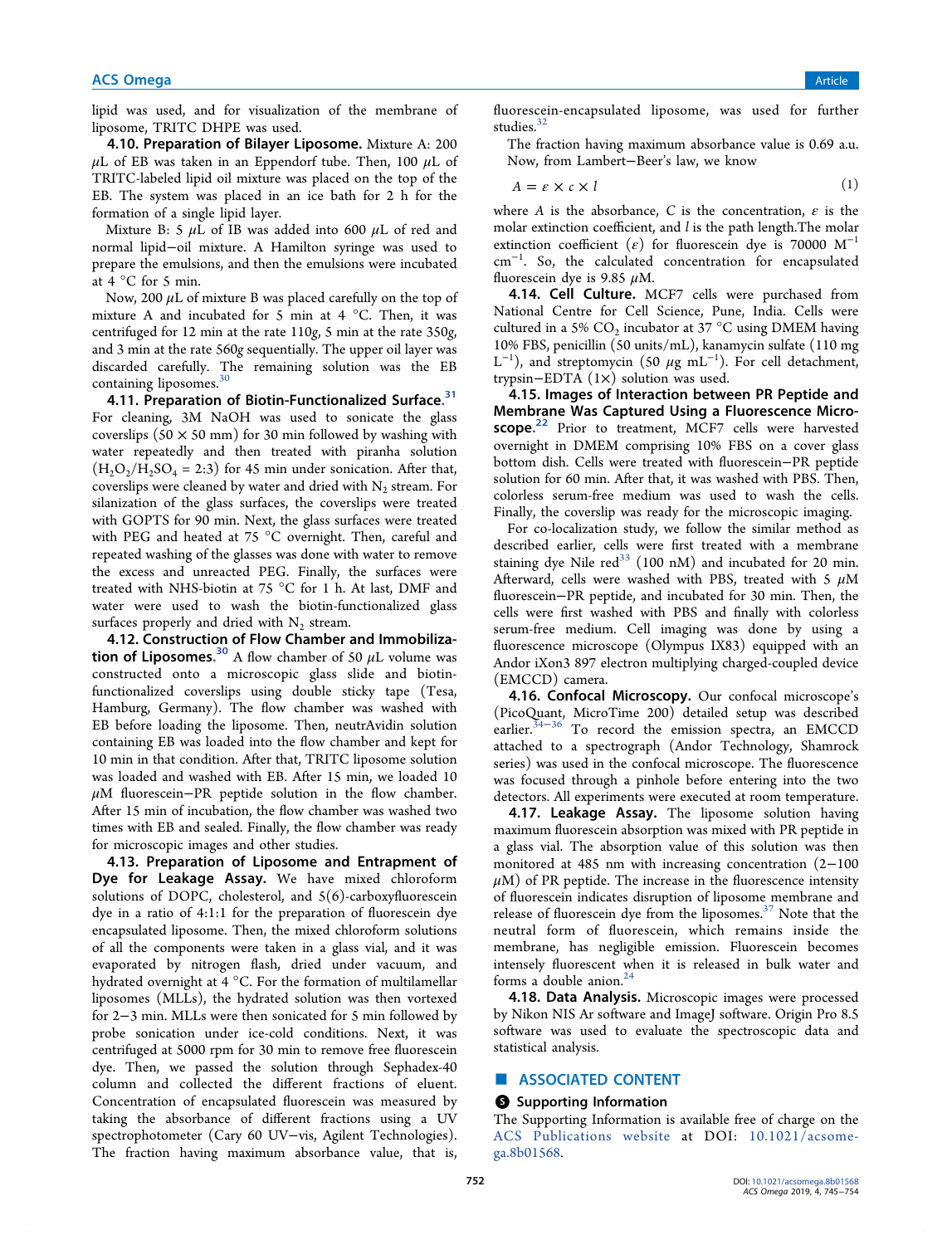# **ACS Omega** Article **Article** Article **Article Article Article Article Article** Article **Article** Article **Article**

lipid was used, and for visualization of the membrane of liposome, TRITC DHPE was used.

4.10. Preparation of Bilayer Liposome. Mixture A: 200  $\mu$ L of EB was taken in an Eppendorf tube. Then, 100  $\mu$ L of TRITC-labeled lipid oil mixture was placed on the top of the EB. The system was placed in an ice bath for 2 h for the formation of a single lipid layer.

Mixture B: 5  $\mu$ L of IB was added into 600  $\mu$ L of red and normal lipid−oil mixture. A Hamilton syringe was used to prepare the emulsions, and then the emulsions were incubated at 4 °C for 5 min.

Now, 200  $\mu$ L of mixture B was placed carefully on the top of mixture A and incubated for 5 min at 4  $^{\circ}$ C. Then, it was centrifuged for 12 min at the rate 110g, 5 min at the rate 350g, and 3 min at the rate 560g sequentially. The upper oil layer was discarded carefully. The remaining solution was the EB containing liposomes.<sup>30</sup>

4.11. Preparation of Biotin-Functionalized Surface.<sup>31</sup> For cleaning, 3M NaOH was used to sonicate the glass coverslips  $(50 \times 50 \text{ mm})$  for 30 min followed by washing with water repeatedly and then treated with piranha solution  $(H<sub>2</sub>O<sub>2</sub>/H<sub>2</sub>SO<sub>4</sub> = 2:3)$  for 45 min under sonication. After that, coverslips were cleaned by water and dried with  $\mathrm{N}_2$  stream. For silanization of the glass surfaces, the coverslips were treated with GOPTS for 90 min. Next, the glass surfaces were treated with PEG and heated at 75 °C overnight. Then, careful and repeated washing of the glasses was done with water to remove the excess and unreacted PEG. Finally, the surfaces were treated with NHS-biotin at 75 °C for 1 h. At last, DMF and water were used to wash the biotin-functionalized glass surfaces properly and dried with  $N_2$  stream.

4.12. Construction of Flow Chamber and Immobilization of Liposomes.<sup>30</sup> A flow chamber of 50  $\mu$ L volume was constructed onto a microscopic glass slide and biotinfunctionalized coverslips using double sticky tape (Tesa, Hamburg, Germany). The flow chamber was washed with EB before loading the liposome. Then, neutrAvidin solution containing EB was loaded into the flow chamber and kept for 10 min in that condition. After that, TRITC liposome solution was loaded and washed with EB. After 15 min, we loaded 10  $\mu$ M fluorescein−PR peptide solution in the flow chamber. After 15 min of incubation, the flow chamber was washed two times with EB and sealed. Finally, the flow chamber was ready for microscopic images and other studies.

4.13. Preparation of Liposome and Entrapment of Dye for Leakage Assay. We have mixed chloroform solutions of DOPC, cholesterol, and  $5(6)$ -carboxyfluorescein dye in a ratio of 4:1:1 for the preparation of fluorescein dye encapsulated liposome. Then, the mixed chloroform solutions of all the components were taken in a glass vial, and it was evaporated by nitrogen flash, dried under vacuum, and hydrated overnight at 4 °C. For the formation of multilamellar liposomes (MLLs), the hydrated solution was then vortexed for 2−3 min. MLLs were then sonicated for 5 min followed by probe sonication under ice-cold conditions. Next, it was centrifuged at 5000 rpm for 30 min to remove free fluorescein dye. Then, we passed the solution through Sephadex-40 column and collected the different fractions of eluent. Concentration of encapsulated fluorescein was measured by taking the absorbance of different fractions using a UV spectrophotometer (Cary 60 UV−vis, Agilent Technologies). The fraction having maximum absorbance value, that is,

fluorescein-encapsulated liposome, was used for further studies. $32$ 

The fraction having maximum absorbance value is 0.69 a.u. Now, from Lambert−Beer's law, we know

$$
A = \varepsilon \times c \times l \tag{1}
$$

where A is the absorbance, C is the concentration,  $\varepsilon$  is the molar extinction coefficient, and l is the path length.The molar extinction coefficient ( $\varepsilon$ ) for fluorescein dye is 70000 M<sup>-1</sup> cm<sup>−</sup><sup>1</sup> . So, the calculated concentration for encapsulated fluorescein dye is 9.85  $\mu$ M.

4.14. Cell Culture. MCF7 cells were purchased from National Centre for Cell Science, Pune, India. Cells were cultured in a 5%  $\mathrm{CO}_2$  incubator at 37  $^\circ\mathrm{C}$  using DMEM having 10% FBS, penicillin (50 units/mL), kanamycin sulfate (110 mg L<sup>-1</sup>), and streptomycin (50  $\mu$ g mL<sup>-1</sup>). For cell detachment, trypsin−EDTA (1×) solution was used.

4.15. Images of Interaction between PR Peptide and Membrane Was Captured Using a Fluorescence Microscope.<sup>22</sup> Prior to treatment, MCF7 cells were harvested overnight in DMEM comprising 10% FBS on a cover glass bottom dish. Cells were treated with fluorescein−PR peptide solution for 60 min. After that, it was washed with PBS. Then, colorless serum-free medium was used to wash the cells. Finally, the coverslip was ready for the microscopic imaging.

For co-localization study, we follow the similar method as described earlier, cells were first treated with a membrane staining dye Nile  $red^{33}$  (100 nM) and incubated for 20 min. Afterward, cells were washed with PBS, treated with 5  $\mu$ M fluorescein−PR peptide, and incubated for 30 min. Then, the cells were first washed with PBS and finally with colorless serum-free medium. Cell imaging was done by using a fluorescence microscope (Olympus IX83) equipped with an Andor iXon3 897 electron multiplying charged-coupled device (EMCCD) camera.

4.16. Confocal Microscopy. Our confocal microscope's (PicoQuant, MicroTime 200) detailed setup was described earlier.<sup>34−36</sup> To record the emission spectra, an EMCCD attached to a spectrograph (Andor Technology, Shamrock series) was used in the confocal microscope. The fluorescence was focused through a pinhole before entering into the two detectors. All experiments were executed at room temperature.

4.17. Leakage Assay. The liposome solution having maximum fluorescein absorption was mixed with PR peptide in a glass vial. The absorption value of this solution was then monitored at 485 nm with increasing concentration (2−100  $\mu$ M) of PR peptide. The increase in the fluorescence intensity of fluorescein indicates disruption of liposome membrane and release of fluorescein dye from the liposomes. $37$  Note that the neutral form of fluorescein, which remains inside the membrane, has negligible emission. Fluorescein becomes intensely fluorescent when it is released in bulk water and forms a double anion. $<sup>2</sup>$ </sup>

4.18. Data Analysis. Microscopic images were processed by Nikon NIS Ar software and ImageJ software. Origin Pro 8.5 software was used to evaluate the spectroscopic data and statistical analysis.

# ■ ASSOCIATED CONTENT

#### **S** Supporting Information

The Supporting Information is available free of charge on the ACS Publications website at DOI: 10.1021/acsomega.8b01568.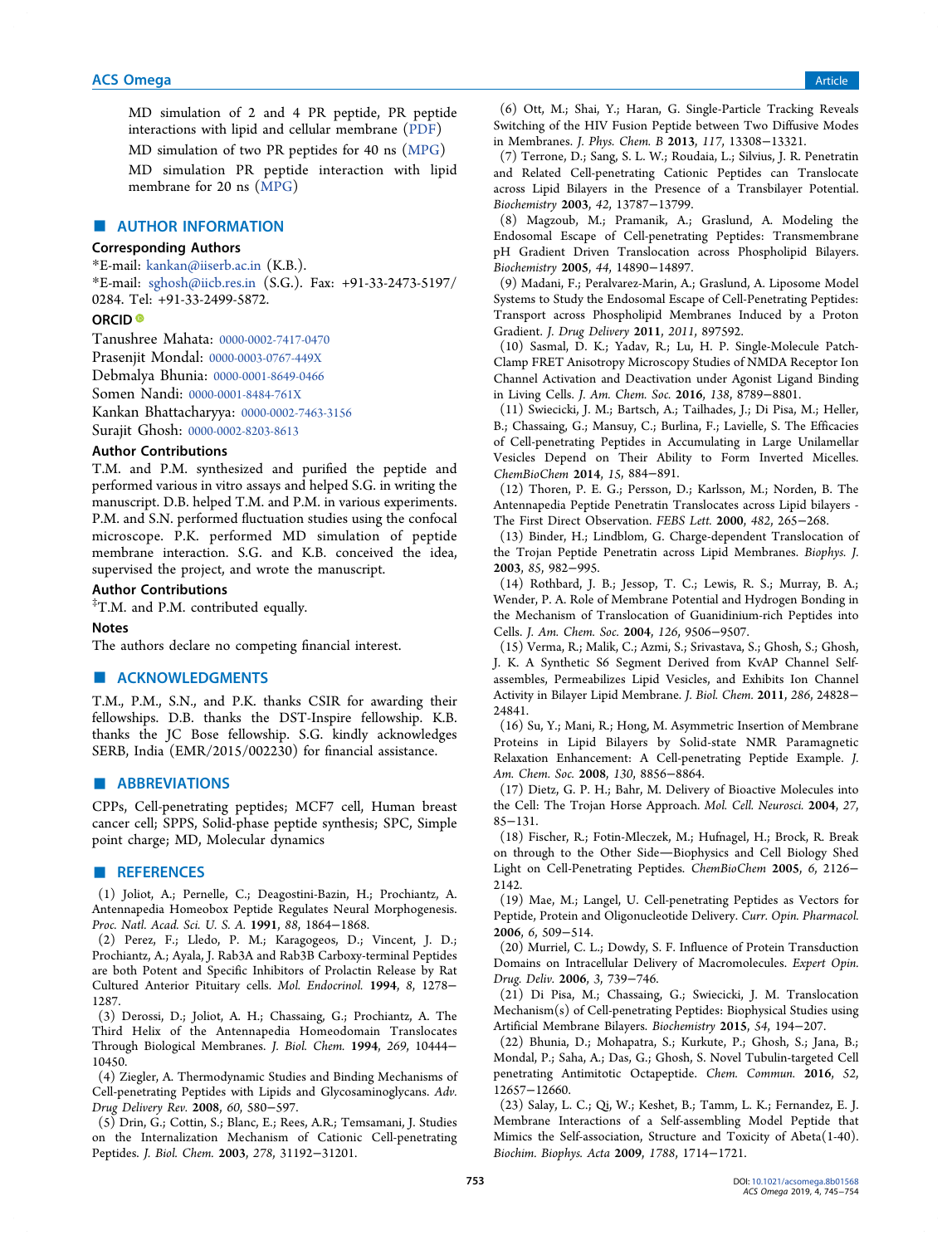MD simulation of 2 and 4 PR peptide, PR peptide interactions with lipid and cellular membrane (PDF)

MD simulation of two PR peptides for 40 ns (MPG)

MD simulation PR peptide interaction with lipid membrane for 20 ns (MPG)

# ■ AUTHOR INFORMATION

# Corresponding Authors

\*E-mail: kankan@iiserb.ac.in (K.B.). \*E-mail: sghosh@iicb.res.in (S.G.). Fax: +91-33-2473-5197/ 0284. Tel: +91-33-2499-5872.

## ORCID<sup>®</sup>

Tanushree Mahata: 0000-0002-7417-0470 Prasenjit Mondal: 0000-0003-0767-449X Debmalya Bhunia: 0000-0001-8649-0466 Somen Nandi: 0000-0001-8484-761X Kankan Bhattacharyya: 0000-0002-7463-3156 Surajit Ghosh: 0000-0002-8203-8613

#### Author Contributions

T.M. and P.M. synthesized and purified the peptide and performed various in vitro assays and helped S.G. in writing the manuscript. D.B. helped T.M. and P.M. in various experiments. P.M. and S.N. performed fluctuation studies using the confocal microscope. P.K. performed MD simulation of peptide membrane interaction. S.G. and K.B. conceived the idea, supervised the project, and wrote the manuscript.

# Author Contributions

‡T.M. and P.M. contributed equally.

#### Notes

The authors declare no competing financial interest.

# ■ ACKNOWLEDGMENTS

T.M., P.M., S.N., and P.K. thanks CSIR for awarding their fellowships. D.B. thanks the DST-Inspire fellowship. K.B. thanks the JC Bose fellowship. S.G. kindly acknowledges SERB, India (EMR/2015/002230) for financial assistance.

# ■ ABBREVIATIONS

CPPs, Cell-penetrating peptides; MCF7 cell, Human breast cancer cell; SPPS, Solid-phase peptide synthesis; SPC, Simple point charge; MD, Molecular dynamics

# ■ REFERENCES

(1) Joliot, A.; Pernelle, C.; Deagostini-Bazin, H.; Prochiantz, A. Antennapedia Homeobox Peptide Regulates Neural Morphogenesis. Proc. Natl. Acad. Sci. U. S. A. 1991, 88, 1864−1868.

(2) Perez, F.; Lledo, P. M.; Karagogeos, D.; Vincent, J. D.; Prochiantz, A.; Ayala, J. Rab3A and Rab3B Carboxy-terminal Peptides are both Potent and Specific Inhibitors of Prolactin Release by Rat Cultured Anterior Pituitary cells. Mol. Endocrinol. 1994, 8, 1278− 1287.

(3) Derossi, D.; Joliot, A. H.; Chassaing, G.; Prochiantz, A. The Third Helix of the Antennapedia Homeodomain Translocates Through Biological Membranes. J. Biol. Chem. 1994, 269, 10444− 10450.

(4) Ziegler, A. Thermodynamic Studies and Binding Mechanisms of Cell-penetrating Peptides with Lipids and Glycosaminoglycans. Adv. Drug Delivery Rev. 2008, 60, 580−597.

(5) Drin, G.; Cottin, S.; Blanc, E.; Rees, A.R.; Temsamani, J. Studies on the Internalization Mechanism of Cationic Cell-penetrating Peptides. J. Biol. Chem. 2003, 278, 31192−31201.

(6) Ott, M.; Shai, Y.; Haran, G. Single-Particle Tracking Reveals Switching of the HIV Fusion Peptide between Two Diffusive Modes in Membranes. J. Phys. Chem. B 2013, 117, 13308−13321.

(7) Terrone, D.; Sang, S. L. W.; Roudaia, L.; Silvius, J. R. Penetratin and Related Cell-penetrating Cationic Peptides can Translocate across Lipid Bilayers in the Presence of a Transbilayer Potential. Biochemistry 2003, 42, 13787−13799.

(8) Magzoub, M.; Pramanik, A.; Graslund, A. Modeling the Endosomal Escape of Cell-penetrating Peptides: Transmembrane pH Gradient Driven Translocation across Phospholipid Bilayers. Biochemistry 2005, 44, 14890−14897.

(9) Madani, F.; Peralvarez-Marin, A.; Graslund, A. Liposome Model Systems to Study the Endosomal Escape of Cell-Penetrating Peptides: Transport across Phospholipid Membranes Induced by a Proton Gradient. J. Drug Delivery 2011, 2011, 897592.

(10) Sasmal, D. K.; Yadav, R.; Lu, H. P. Single-Molecule Patch-Clamp FRET Anisotropy Microscopy Studies of NMDA Receptor Ion Channel Activation and Deactivation under Agonist Ligand Binding in Living Cells. J. Am. Chem. Soc. 2016, 138, 8789−8801.

(11) Swiecicki, J. M.; Bartsch, A.; Tailhades, J.; Di Pisa, M.; Heller, B.; Chassaing, G.; Mansuy, C.; Burlina, F.; Lavielle, S. The Efficacies of Cell-penetrating Peptides in Accumulating in Large Unilamellar Vesicles Depend on Their Ability to Form Inverted Micelles. ChemBioChem 2014, 15, 884−891.

(12) Thoren, P. E. G.; Persson, D.; Karlsson, M.; Norden, B. The Antennapedia Peptide Penetratin Translocates across Lipid bilayers - The First Direct Observation. FEBS Lett. 2000, 482, 265−268.

(13) Binder, H.; Lindblom, G. Charge-dependent Translocation of the Trojan Peptide Penetratin across Lipid Membranes. Biophys. J. 2003, 85, 982−995.

(14) Rothbard, J. B.; Jessop, T. C.; Lewis, R. S.; Murray, B. A.; Wender, P. A. Role of Membrane Potential and Hydrogen Bonding in the Mechanism of Translocation of Guanidinium-rich Peptides into Cells. J. Am. Chem. Soc. 2004, 126, 9506−9507.

(15) Verma, R.; Malik, C.; Azmi, S.; Srivastava, S.; Ghosh, S.; Ghosh, J. K. A Synthetic S6 Segment Derived from KvAP Channel Selfassembles, Permeabilizes Lipid Vesicles, and Exhibits Ion Channel Activity in Bilayer Lipid Membrane. J. Biol. Chem. 2011, 286, 24828− 24841.

(16) Su, Y.; Mani, R.; Hong, M. Asymmetric Insertion of Membrane Proteins in Lipid Bilayers by Solid-state NMR Paramagnetic Relaxation Enhancement: A Cell-penetrating Peptide Example. J. Am. Chem. Soc. 2008, 130, 8856−8864.

(17) Dietz, G. P. H.; Bahr, M. Delivery of Bioactive Molecules into the Cell: The Trojan Horse Approach. Mol. Cell. Neurosci. 2004, 27, 85−131.

(18) Fischer, R.; Fotin-Mleczek, M.; Hufnagel, H.; Brock, R. Break on through to the Other Side-Biophysics and Cell Biology Shed Light on Cell-Penetrating Peptides. ChemBioChem 2005, 6, 2126− 2142.

(19) Mae, M.; Langel, U. Cell-penetrating Peptides as Vectors for Peptide, Protein and Oligonucleotide Delivery. Curr. Opin. Pharmacol. 2006, 6, 509−514.

(20) Murriel, C. L.; Dowdy, S. F. Influence of Protein Transduction Domains on Intracellular Delivery of Macromolecules. Expert Opin. Drug. Deliv. 2006, 3, 739−746.

(21) Di Pisa, M.; Chassaing, G.; Swiecicki, J. M. Translocation Mechanism(s) of Cell-penetrating Peptides: Biophysical Studies using Artificial Membrane Bilayers. Biochemistry 2015, 54, 194−207.

(22) Bhunia, D.; Mohapatra, S.; Kurkute, P.; Ghosh, S.; Jana, B.; Mondal, P.; Saha, A.; Das, G.; Ghosh, S. Novel Tubulin-targeted Cell penetrating Antimitotic Octapeptide. Chem. Commun. 2016, 52, 12657−12660.

(23) Salay, L. C.; Qi, W.; Keshet, B.; Tamm, L. K.; Fernandez, E. J. Membrane Interactions of a Self-assembling Model Peptide that Mimics the Self-association, Structure and Toxicity of Abeta(1-40). Biochim. Biophys. Acta 2009, 1788, 1714−1721.